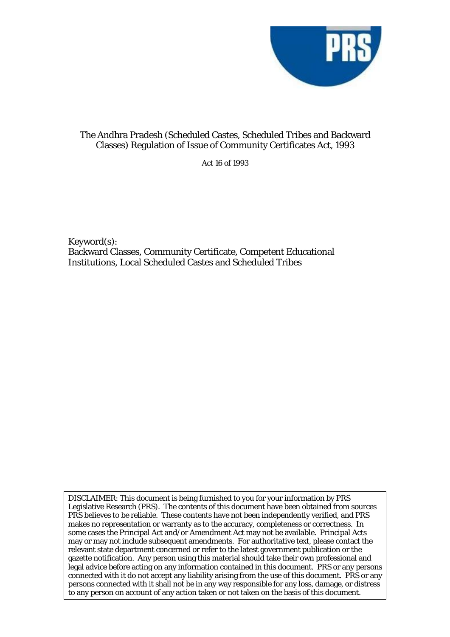

## The Andhra Pradesh (Scheduled Castes, Scheduled Tribes and Backward Classes) Regulation of Issue of Community Certificates Act, 1993

Act 16 of 1993

Keyword(s): Backward Classes, Community Certificate, Competent Educational Institutions, Local Scheduled Castes and Scheduled Tribes

DISCLAIMER: This document is being furnished to you for your information by PRS Legislative Research (PRS). The contents of this document have been obtained from sources PRS believes to be reliable. These contents have not been independently verified, and PRS makes no representation or warranty as to the accuracy, completeness or correctness. In some cases the Principal Act and/or Amendment Act may not be available. Principal Acts may or may not include subsequent amendments. For authoritative text, please contact the relevant state department concerned or refer to the latest government publication or the gazette notification. Any person using this material should take their own professional and legal advice before acting on any information contained in this document. PRS or any persons connected with it do not accept any liability arising from the use of this document. PRS or any persons connected with it shall not be in any way responsible for any loss, damage, or distress to any person on account of any action taken or not taken on the basis of this document.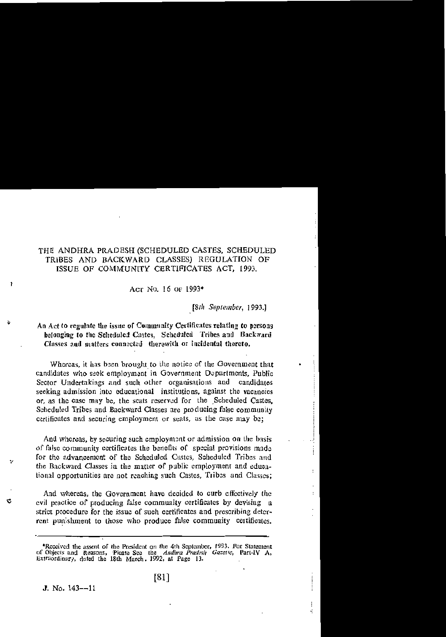## THE ANDHRA PRADESH (SCHEDULED CASTES, SCHEDULED TRIBES AND BACKWARD CLASSES) REGULATION OF ISSUE OF COMMUNITY CERTIFICATES ACT, 1993.

Acr No. 16 or 1993\*

[8th September, 1993.]

Ą

## An Act to regulate the issue of Community Certificates relating to persons belonging to the Scheduled Castes, Scheduled Tribes and Backward Classes and matters connected therewith or incidental thereto.

Whereas, it has been brought to the notice of the Government that candidates who seek employment in Government Departments, Public Sector Undertakings and such other organisations and candidates seeking admission into educational institutions, against the vacancies or, as the case may be, the seats reserved for the Scheduled Castes. Scheduled Tribes and Backward Classes are producing false community certificates and securing employment or seats, as the case may be:

And whereas, by securing such employment or admission on the basis of false community certificates the benefits of special provisions made for the advancement of the Scheduled Castes, Scheduled Tribes and the Backward Classes in the matter of public employment and educalional opportunities are not reaching such Castes, Tribes and Classes;

And whereas, the Government have decided to curb effectively the evil practice of producing false community certificates by devising a strict procedure for the issue of such certificates and prescribing deterrent punishment to those who produce false community certificates.

J. No.  $143 - -11$ 

Ì

رہ

Ć

<sup>\*</sup>Received the assent of the President on the 4th September, 1993. For Statement of Objects and Reasons, Picase See the Andhra Pradesh Gazette, Part-IV A, Extraordinary, dated the 18th March, 1992, at Page 13.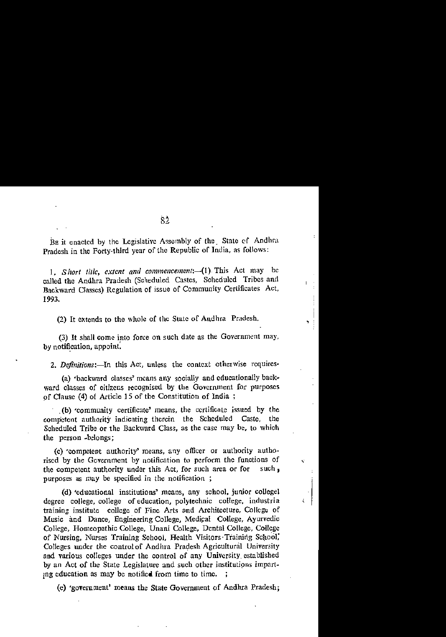BE it enacted by the Legislative Assembly of the State of Andhra Pradesh in the Forty-third year of the Republic of India, as follows:

1. Short title, extent and commencement:- (1) This Act may be called the Andhra Pradesh (Scheduled Castes, Scheduled Tribes and Backward Classes) Regulation of issue of Community Certificates Act. 1993.

(2) It extends to the whole of the State of Andhra Pradesh.

(3) It shall come into force on such date as the Government may. by notification, appoint.

2. Definitions:- In this Act, unless the context otherwise requires-

(a) 'backward classes' means any socially and educationally backward classes of citizens recognised by the Government for purposes of Clause (4) of Article 15 of the Constitution of India;

(b) 'community certificate' means, the certificate issued by the competent authority indicating therein the Scheduled Caste, the Scheduled Tribe or the Backward Class, as the case may be, to which the person -belongs:

(c) 'competent authority' means, any officer or authority authorised by the Government by notification to perform the functions of the competent authority under this Act, for such area or for such. purposes as may be specified in the notification;

ē

(d) 'educational institutions' means, any school, junior collegel degree college, college of education, polytechnic college, industria training institute college of Fine Arts and Architecture, College of Music and Dance, Engineering College, Medical College, Ayurvedic College, Homeopathic College, Unani College, Dental College, College of Nursing, Nurses Training School, Health Visitors Training School, Colleges under the control of Andhra Pradesh Agricultural University and various colleges under the control of any University established by an Act of the State Legislature and such other institutions imparting education as may be notified from time to time.

(e) 'government' means the State Government of Andhra Pradesh;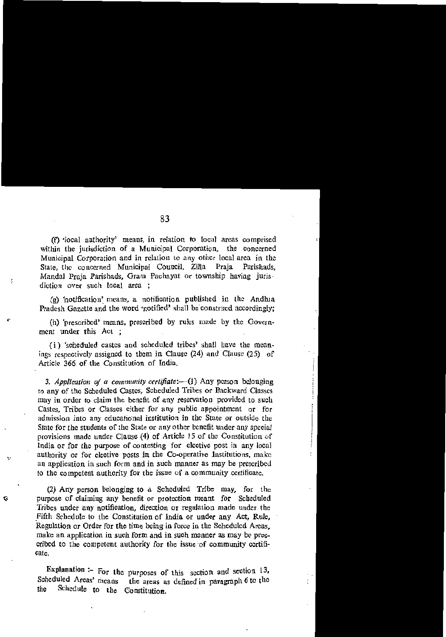(f) local authority' means, in relation to local areas comprised within the jurisdiction of a Municipal Corporation, the concerned Municipal Corporation and in relation to any other local area in the State, the concerned Municipal Council, Zilla Praia Parishads. Mandal Praia Parishads. Gram Pachayat or township having jurisdiction over such local arca :

÷,

G

(g) 'notification' means, a notification published in the Andhia Pradesh Gazette and the word 'notified' shall be construed accordingly:

(h) 'prescribed' means, prescribed by rules made by the Government under this Act:

(i) 'scheduled castes and scheduled tribes' shall have the meanings respectively assigned to them in Clause (24) and Clause (25) of Article 366 of the Constitution of India.

3. Application of a community certifiate:-(1) Any person belonging to any of the Scheduled Castes, Scheduled Tribes or Backward Classes may in order to claim the benefit of any reservation provided to such Castes, Tribes or Classes either for any public appointment or for admission into any educational institution in the State or outside the State for the students of the State or any other benefit under any special provisions made under Clause (4) of Article 15 of the Constitution of India or for the purpose of contesting for elective post in any local authority or for elective posts in the Co-operative Institutions, make an application in such form and in such manner as may be prescribed to the competent authority for the issue of a community certificate.

(2) Any person belonging to a Scheduled Tribe may, for the purpose of claiming any benefit or protection meant for Scheduled Tribes under any notification, direction or regulation made under the Fifth Schedule to the Constitution of India or under any Act. Rule. Regulation or Order for the time being in force in the Scheduled Areas, make an application in such form and in such manner as may be prescribed to the competent authority for the issue of community certificate.

Explanation :- For the purposes of this section and section  $13$ , Scheduled Areas' means the areas as defined in paragraph 6 to the Schedule to the Constitution. the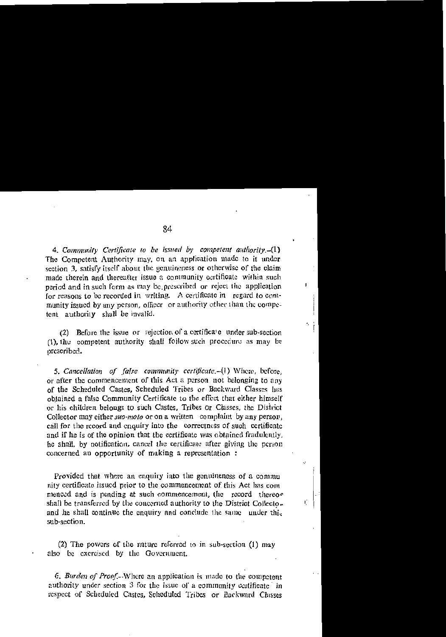4. Community Certificate to be issued by competent authority.-(1) The Competent Authority may, on an application made to it under section 3, satisfy itself about the genuineness or otherwise of the claim made therein and thereafter issue a community certificate within such period and in such form as may be prescribed or reject the application for reasons to be recorded in writing. A certificate in regard to community issued by any person, officer or authority other than the competent authority shall be invalid.

I.

Å,

Ú

(2) Before the issue or rejection of a certificate under sub-section (1) the competent authority shall follow such procedure as may be prescribed.

5. Cancellation of false community certificate.-(1) Where, before, or after the commencement of this Act a person not belonging to any of the Scheduled Castes, Scheduled Tribes or Backward Classes has obtained a false Community Certificate to the effect that either himself or his children belongs to such Castes, Tribes or Classes, the District Collector may either *suo-moto* or on a written complaint by any person. call for the record and enquiry into the correctness of such certificate and if he is of the opinion that the certificate was obtained fradulently. he shall, by notification, cancel the certificate after giving the person concerned an opportunity of making a representation :

Provided that where an enquiry into the genuineness of a communi nity certificate issued prior to the commencement of this Act has commenced and is pending at such commencement, the record thereof shall be transferred by the concerned authority to the District Collecto. and he shall continue the enquiry and conclude the same under this sub-section.

(2) The powers of the nature referred to in sub-section (1) may also be exercised by the Government.

6. Burden of Proof.--Where an application is made to the competent authority under section 3 for the issue of a community certificate in respect of Scheduled Castes, Scheduled Tribes or Backward Classes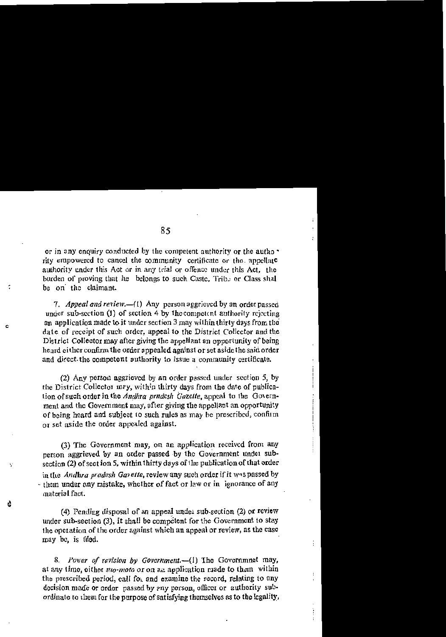or in any enquiry conducted by the competent authority or the autho rity empowered to cancel the community certificate or the appellate authority under this Act or in any trial or offence under this Act. the burden of proving that he belongs to such Caste. Trib. or Class shal be on the claimant.

7. Appeal and review.-(1) Any person aggricycd by an order passed under sub-section  $(1)$  of section 4 by the connecting authority rejecting an application made to it under section 3 may within thirty days from the date of receipt of such order, appeal to the District Collector and the District Collector may after giving the appellant an opportunity of being heard either confirm the order appealed against or set aside the said order and direct the competent authority to issue a community certificate.

Ċ

÷.

(2) Any person aggrieved by an order passed under section 5, by the District Collector may, within thirty days from the date of publication of such order in the Andhra pradesh Gazette, appeal to the Government and the Government may, after giving the appellant an opportunity of being heard and subject to such rules as may be prescribed, confirm or set aside the order appealed against.

(3) The Government may, on an application received from any nerson aggrieved by an order passed by the Government under subsection (2) of section 5, within thirty days of the publication of that order in the Andhra pradesh Gavette, review any such order if it was passed by - them under any mistake, whether of fact or law or in ignorance of any material fact.

(4) Pending disposal of an appeal under sub-section (2) or review under sub-section (3), it shall be competent for the Government to stay the operation of the order against which an appeal or review, as the case may be, is filed.

8. Power of revision by Government.-(1) The Governmnet may, at any time, either suo-moto or on an application made to them within the prescribed period, call for and examine the record, relating to any decision made or order passed by any porson, officer or authority subordinate to them for the purpose of satisfying themselves as to the legality,  $\bar{J}$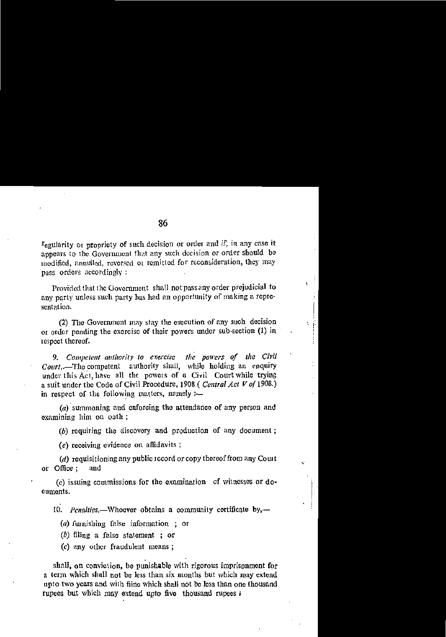Fegularity or propriety of such decision or order and if, in any case it appears to the Government that any such decision or order should be modified, annulled, reversed or remitted for reconsideration, they may pass orders accordingly:

Provided that the Government shall not pass any order prejudicial to any party unless such party has had an opportunity of making a representation.

١

t

(2) The Government may stay the execution of any such decision or order pending the exercise of their powers under sub-section (1) in respect thereof.

9. Competent authority to exercise the powers of the Civil Court,.-The competent authority shall, while holding an enquiry under this Act, have all the powers of a Civil Court while trying a suit under the Code of Civil Procedure, 1908 (Central Act V of 1908.) in respect of the following matters, namely :-

 $(a)$  summoning and enforcing the attendance of any person and examining him on oath;

(b) requiring the discovery and production of any document;

(c) receiving evidence on affidavits;

 $(d)$  requisitioning any public record or copy thereof from any Court or Office: and

(e) issuing commissions for the examination of witnesses or documonts.

10. Penalties.—Whoever obtains a community certificate by,—

(a) furnishing false information; or

 $(b)$  filing a false statement; or

(c) any other fraudulent means;

shall, on conviction, be punishable with rigorous imprisonment for a term which shall not be less than six months but which may extend upto two years and with fiine which shall not be less than one thousand rupees but which may extend upto five thousand rupees i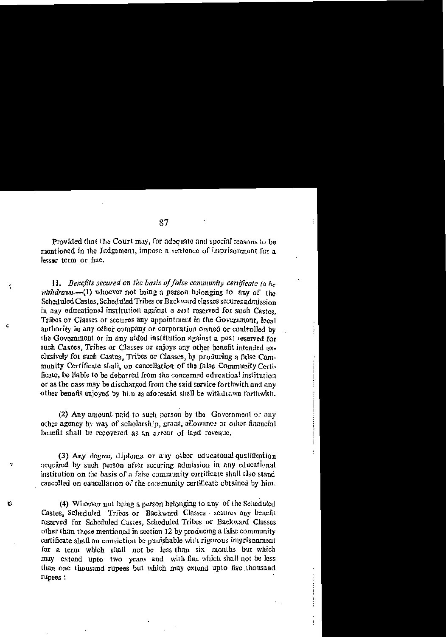Provided that the Court may, for adequate and special reasons to be mentioned in the Judgement, impose a sentence of imprisonment for a lesser term or fine.

ŕ,

÷,

Ŕ

11. Benefits secured on the basis of false community certificate to  $b<sub>c</sub>$ withdrawn.-- $(1)$  whoever not being a person belonging to any of the Scheduled Castes, Scheduled Tribes or Backward classes secures admission in any educational institution against a seat reserved for such Castes. Tribes or Classes or secures any appointment in the Government, local authority in any other company or corporation owned or controlled by the Government or in any aided institution against a post reserved for such Castes. Tribes or Classes or enjoys any other benefit intended exclusively for such Castes. Tribes or Classes, by producing a false Community Certificate shall, on cancellation of the false Community Certificate, be liable to be debarred from the concerned educatioal institution or as the case may be discharged from the said service forthwith and any other benefit enjoyed by him as aforesaid shall be withdrawn forthwith.

(2) Any amount paid to such person by the Government or any other agency by way of scholarship, grant, allowance or other financial benefit shall be recovered as an arrear of land revenue.

(3) Any degree, diploma or any other educatonal qualification acquired by such person after securing admission in any educational institution on the basis of a false community certificate shall also stand cancelled on cancellation of the community certificate obtained by him.

(4) Whoever not being a person belonging to any of the Scheduled Castes, Scheduled Tribes or Backward Classes secures any benefit reserved for Scheduled Castes, Scheduled Tribes or Backward Classes other than those mentioned in section 12 by producing a false community certificate shall on conviction be punishable with rigorous imprisonment for a term which shall not be less than six months but which may extend upto two years and with fine which shall not be less than one thousand rupees but which may extend upto five thousand **Fupees:**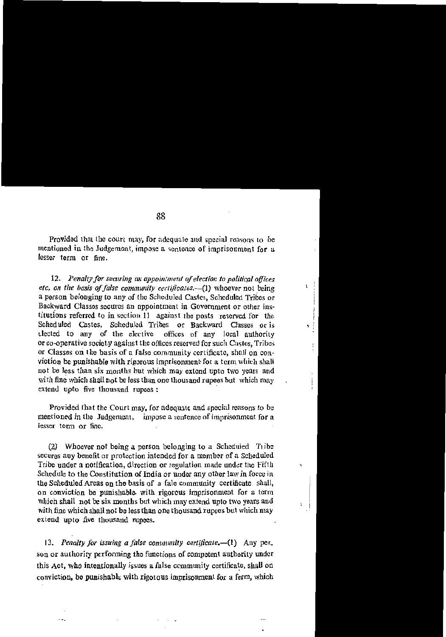Provided that the court may, for adequate and special reasons to be mentioned in the Judgement, impose a sentence of imprisonment for a lesser term or fine.

j

ł.

٠

ò.

ı

12. Penalty for securing an appointment of election to political offices etc, on the basis of false community certificates.-(1) whoever not being a person belonging to any of the Scheduled Castes, Scheduled Tribes or Backward Classes secures an appointment in Government or other institutions referred to in section 11 against the posts reserved for the Scheduled Castes. Scheduled Tribes or Backward Classes or is tlected to any of the elective offices of any local authority or co-operative society against the offices reserved for such Castes. Tribes or Classes on the basis of a false community certificate, shall on conviction be punishable with rigorous imprisonment for a term which shall not be less than six months but which may extend upto two years and with fine which shall not be less than one thousand rupees but which may extend upto five thousand rupees:

Provided that the Court may, for adequate and special reasons to be mentioned in the Judgement, impose a sentence of imprisonment for a iesser term or fine.

(2) Whoever not being a person belonging to a Scheduled Tribe secures any benefit or protection intended for a member of a Scheduled Tribe under a notification, direction or regulation made under the Fifth Schedule to the Constitution of India or under any other law in force in the Scheduled Areas on the basis of a fale community certificate shall, on conviction be punishable with rigorous imprisonment for a term which shall not be six months but which may extend upto two years and with fine which shall not be less than one thousand rupees but which may extend upto five thousand rupees.

13. Penalty for issuing a false community certificate.-(1) Any per. son or authority performing the functions of competent authority under this Act, who intentionally issues a false community certificate, shall on conviction, be punishable with rigorous imprisonment for a ferm, which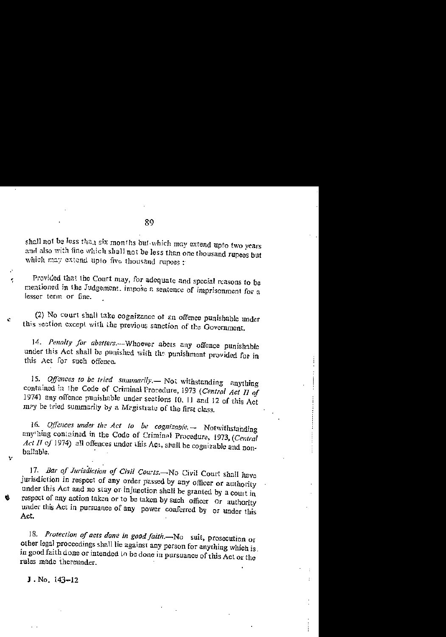shall not be less than six months but which may extend upto two years and also with fine which shall not be less than one thousand rupees but which may extend upto five thousand rupees :

Provided that the Court may, for adequate and special reasons to be mentioned in the Judgement, impose a sentence of imprisonment for a lesser term or fine.

(2) No court shall take cognizance of an offence punishable under this section except with the previous sanction of the Government.

14. Penalty for abetters.--- Whoever abets any offence punishable under this Act shall be punished with the punishment provided for in this Act for such offence.

15. Offences to be tried summarily. Not withstanding anything contained in the Code of Criminal Procedure, 1973 (Central Act II of 1974) any offence punishable under sections 10, 11 and 12 of this Act may be tried summarily by a Magistrate of the first class.

16. Offences under the Act to be cognizable, $\rightarrow$  Notwithstanding any hing contained in the Code of Criminal Procedure, 1973, (Central Act II of 1974) all offences under this Act, shall be cognizable and nonbailable.

17. Bar of Jurisdiction of Civil Courts.- No Civil Court shall have jurisdiction in respect of any order passed by any officer or authority under this Act and no stay or injunction shall be granted by a court in respect of any action taken or to be taken by such officer or authority under this Act in pursuance of any power conferred by or under this Act.

18. Protection of acts done in good faith.-No suit, prosecution or other legal proceedings shall lie against any person for anything which is. in good faith done or intended to be done in pursuance of this Act or the rules made thereunder.

J. No.  $143 - 12$ 

ķ

Ĉ.

V

O.